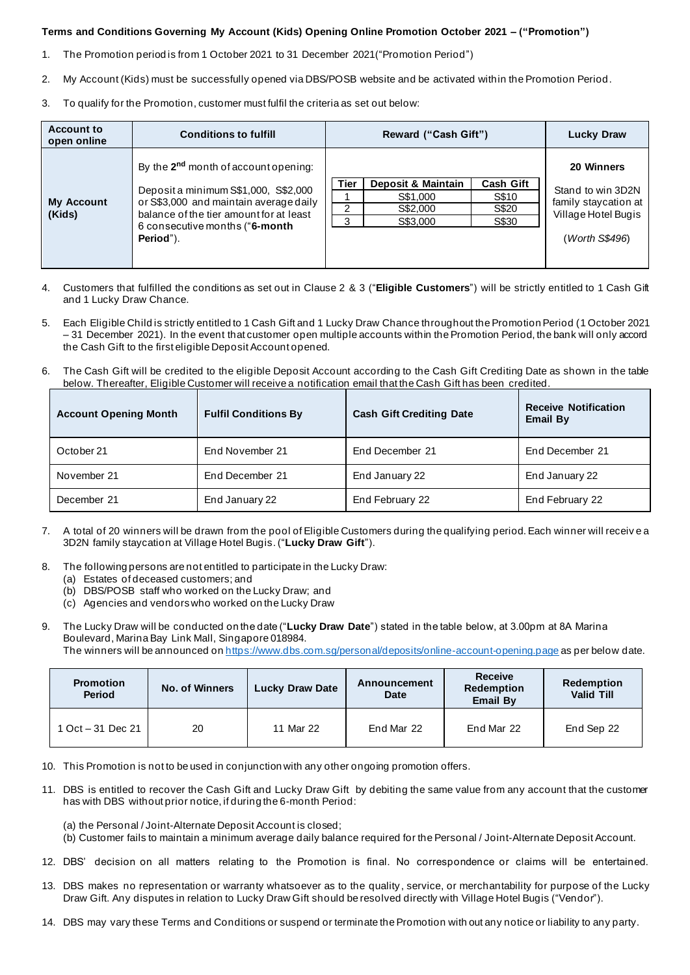## **Terms and Conditions Governing My Account (Kids) Opening Online Promotion October 2021 – ("Promotion")**

- 1. The Promotion period is from 1 October 2021 to 31 December 2021("Promotion Period")
- 2. My Account (Kids) must be successfully opened via DBS/POSB website and be activated within the Promotion Period.
- 3. To qualify for the Promotion, customer must fulfil the criteria as set out below:

| <b>Account to</b><br>open online | <b>Conditions to fulfill</b>                                                                                                                                                                                                  | Reward ("Cash Gift") |                    |           | <b>Lucky Draw</b>                                                |
|----------------------------------|-------------------------------------------------------------------------------------------------------------------------------------------------------------------------------------------------------------------------------|----------------------|--------------------|-----------|------------------------------------------------------------------|
| <b>My Account</b><br>(Kids)      | By the 2 <sup>nd</sup> month of account opening:<br>Deposit a minimum S\$1,000, S\$2,000<br>or S\$3,000 and maintain average daily<br>balance of the tier amount for at least<br>6 consecutive months ("6-month"<br>Period"). |                      |                    |           | 20 Winners                                                       |
|                                  |                                                                                                                                                                                                                               | Tier                 | Deposit & Maintain | Cash Gift | Stand to win 3D2N<br>family staycation at<br>Village Hotel Bugis |
|                                  |                                                                                                                                                                                                                               |                      | S\$1,000           | S\$10     |                                                                  |
|                                  |                                                                                                                                                                                                                               |                      | S\$2,000           | S\$20     |                                                                  |
|                                  |                                                                                                                                                                                                                               | 3                    | S\$3,000           | S\$30     |                                                                  |
|                                  |                                                                                                                                                                                                                               |                      |                    |           | (Worth S\$496)                                                   |

- 4. Customers that fulfilled the conditions as set out in Clause 2 & 3 ("**Eligible Customers**") will be strictly entitled to 1 Cash Gift and 1 Lucky Draw Chance.
- 5. Each Eligible Child is strictly entitled to 1 Cash Gift and 1 Lucky Draw Chance throughout the Promotion Period (1 October 2021 – 31 December 2021). In the event that customer open multiple accounts within the Promotion Period, the bank will only accord the Cash Gift to the first eligible Deposit Account opened.
- 6. The Cash Gift will be credited to the eligible Deposit Account according to the Cash Gift Crediting Date as shown in the table below. Thereafter, Eligible Customer will receive a notification email that the Cash Gift has been credited.

| <b>Account Opening Month</b> | <b>Fulfil Conditions By</b> | <b>Cash Gift Crediting Date</b> | <b>Receive Notification</b><br><b>Email By</b> |
|------------------------------|-----------------------------|---------------------------------|------------------------------------------------|
| October 21                   | End November 21             | End December 21                 | End December 21                                |
| November 21                  | End December 21             | End January 22                  | End January 22                                 |
| December 21                  | End January 22              | End February 22                 | End February 22                                |

- 7. A total of 20 winners will be drawn from the pool of Eligible Customers during the qualifying period. Each winner will receiv e a 3D2N family staycation at Village Hotel Bugis. ("**Lucky Draw Gift**").
- 8. The following persons are not entitled to participate in the Lucky Draw:
	- (a) Estates of deceased customers; and
	- (b) DBS/POSB staff who worked on the Lucky Draw; and
	- (c) Agencies and vendors who worked on the Lucky Draw
- 9. The Lucky Draw will be conducted on the date ("**Lucky Draw Date**") stated in the table below, at 3.00pm at 8A Marina Boulevard, Marina Bay Link Mall, Singapore 018984.

The winners will be announced o[n https://www.dbs.com.sg/personal/deposits/online-account-opening.page](https://www.dbs.com.sg/personal/deposits/online-account-opening.page) as per below date.

| <b>Promotion</b><br><b>Period</b> | <b>No. of Winners</b> | <b>Lucky Draw Date</b> | <b>Announcement</b><br><b>Date</b> | <b>Receive</b><br><b>Redemption</b><br><b>Email By</b> | Redemption<br><b>Valid Till</b> |
|-----------------------------------|-----------------------|------------------------|------------------------------------|--------------------------------------------------------|---------------------------------|
| 1 Oct – 31 Dec 21                 | 20                    | 11 Mar 22              | End Mar 22                         | End Mar 22                                             | End Sep 22                      |

10. This Promotion is not to be used in conjunction with any other ongoing promotion offers.

- 11. DBS is entitled to recover the Cash Gift and Lucky Draw Gift by debiting the same value from any account that the customer has with DBS without prior notice, if during the 6-month Period:
	- (a) the Personal / Joint-Alternate Deposit Account is closed;
	- (b) Customer fails to maintain a minimum average daily balance required for the Personal / Joint-Alternate Deposit Account.
- 12. DBS' decision on all matters relating to the Promotion is final. No correspondence or claims will be entertained.
- 13. DBS makes no representation or warranty whatsoever as to the quality, service, or merchantability for purpose of the Lucky Draw Gift. Any disputes in relation to Lucky Draw Gift should be resolved directly with Village Hotel Bugis ("Vendor").

14. DBS may vary these Terms and Conditions or suspend or terminate the Promotion with out any notice or liability to any party.